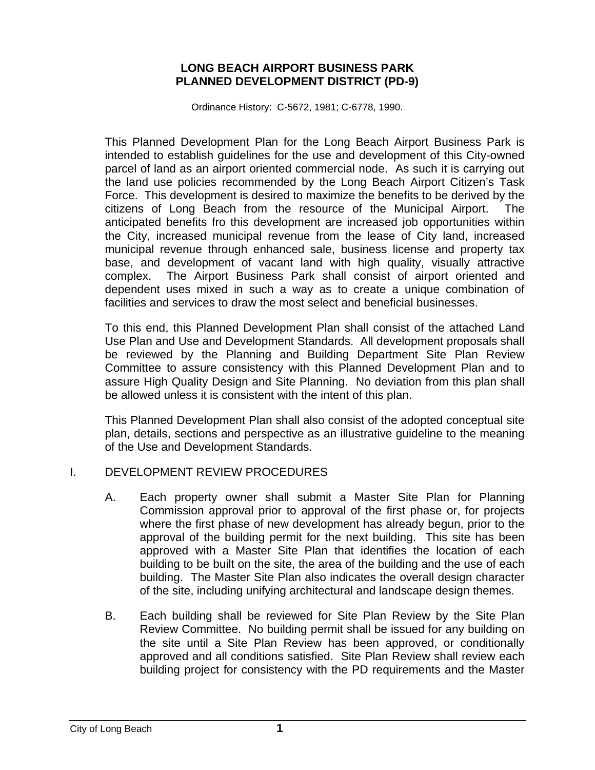## **LONG BEACH AIRPORT BUSINESS PARK PLANNED DEVELOPMENT DISTRICT (PD-9)**

Ordinance History: C-5672, 1981; C-6778, 1990.

This Planned Development Plan for the Long Beach Airport Business Park is intended to establish guidelines for the use and development of this City-owned parcel of land as an airport oriented commercial node. As such it is carrying out the land use policies recommended by the Long Beach Airport Citizen's Task Force. This development is desired to maximize the benefits to be derived by the citizens of Long Beach from the resource of the Municipal Airport. The anticipated benefits fro this development are increased job opportunities within the City, increased municipal revenue from the lease of City land, increased municipal revenue through enhanced sale, business license and property tax base, and development of vacant land with high quality, visually attractive complex. The Airport Business Park shall consist of airport oriented and dependent uses mixed in such a way as to create a unique combination of facilities and services to draw the most select and beneficial businesses.

To this end, this Planned Development Plan shall consist of the attached Land Use Plan and Use and Development Standards. All development proposals shall be reviewed by the Planning and Building Department Site Plan Review Committee to assure consistency with this Planned Development Plan and to assure High Quality Design and Site Planning. No deviation from this plan shall be allowed unless it is consistent with the intent of this plan.

This Planned Development Plan shall also consist of the adopted conceptual site plan, details, sections and perspective as an illustrative guideline to the meaning of the Use and Development Standards.

# I. DEVELOPMENT REVIEW PROCEDURES

- A. Each property owner shall submit a Master Site Plan for Planning Commission approval prior to approval of the first phase or, for projects where the first phase of new development has already begun, prior to the approval of the building permit for the next building. This site has been approved with a Master Site Plan that identifies the location of each building to be built on the site, the area of the building and the use of each building. The Master Site Plan also indicates the overall design character of the site, including unifying architectural and landscape design themes.
- B. Each building shall be reviewed for Site Plan Review by the Site Plan Review Committee. No building permit shall be issued for any building on the site until a Site Plan Review has been approved, or conditionally approved and all conditions satisfied. Site Plan Review shall review each building project for consistency with the PD requirements and the Master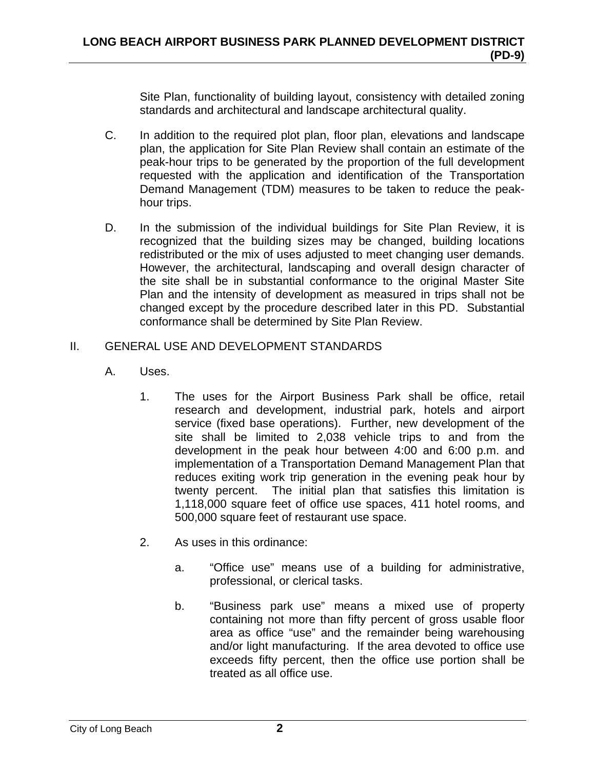Site Plan, functionality of building layout, consistency with detailed zoning standards and architectural and landscape architectural quality.

- C. In addition to the required plot plan, floor plan, elevations and landscape plan, the application for Site Plan Review shall contain an estimate of the peak-hour trips to be generated by the proportion of the full development requested with the application and identification of the Transportation Demand Management (TDM) measures to be taken to reduce the peakhour trips.
- D. In the submission of the individual buildings for Site Plan Review, it is recognized that the building sizes may be changed, building locations redistributed or the mix of uses adjusted to meet changing user demands. However, the architectural, landscaping and overall design character of the site shall be in substantial conformance to the original Master Site Plan and the intensity of development as measured in trips shall not be changed except by the procedure described later in this PD. Substantial conformance shall be determined by Site Plan Review.

# II. GENERAL USE AND DEVELOPMENT STANDARDS

- A. Uses.
	- 1. The uses for the Airport Business Park shall be office, retail research and development, industrial park, hotels and airport service (fixed base operations). Further, new development of the site shall be limited to 2,038 vehicle trips to and from the development in the peak hour between 4:00 and 6:00 p.m. and implementation of a Transportation Demand Management Plan that reduces exiting work trip generation in the evening peak hour by twenty percent. The initial plan that satisfies this limitation is 1,118,000 square feet of office use spaces, 411 hotel rooms, and 500,000 square feet of restaurant use space.
	- 2. As uses in this ordinance:
		- a. "Office use" means use of a building for administrative, professional, or clerical tasks.
		- b. "Business park use" means a mixed use of property containing not more than fifty percent of gross usable floor area as office "use" and the remainder being warehousing and/or light manufacturing. If the area devoted to office use exceeds fifty percent, then the office use portion shall be treated as all office use.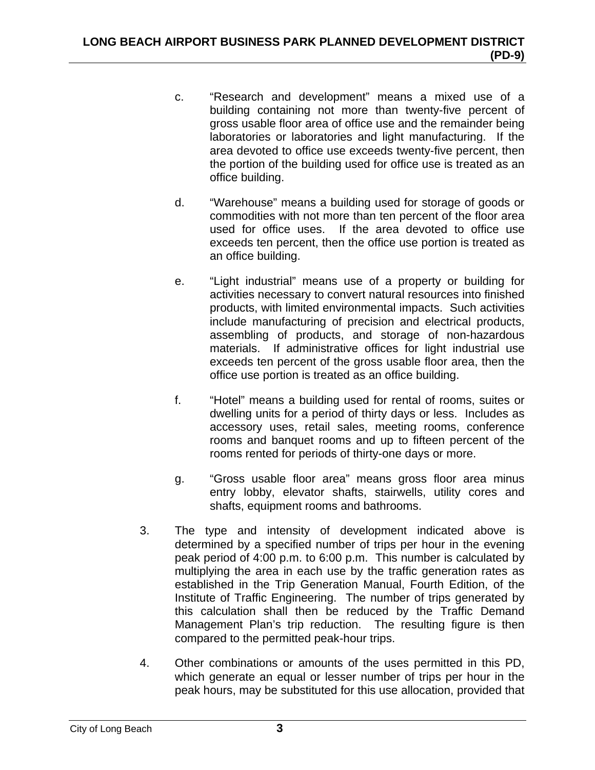- c. "Research and development" means a mixed use of a building containing not more than twenty-five percent of gross usable floor area of office use and the remainder being laboratories or laboratories and light manufacturing. If the area devoted to office use exceeds twenty-five percent, then the portion of the building used for office use is treated as an office building.
- d. "Warehouse" means a building used for storage of goods or commodities with not more than ten percent of the floor area used for office uses. If the area devoted to office use exceeds ten percent, then the office use portion is treated as an office building.
- e. "Light industrial" means use of a property or building for activities necessary to convert natural resources into finished products, with limited environmental impacts. Such activities include manufacturing of precision and electrical products, assembling of products, and storage of non-hazardous materials. If administrative offices for light industrial use exceeds ten percent of the gross usable floor area, then the office use portion is treated as an office building.
- f. "Hotel" means a building used for rental of rooms, suites or dwelling units for a period of thirty days or less. Includes as accessory uses, retail sales, meeting rooms, conference rooms and banquet rooms and up to fifteen percent of the rooms rented for periods of thirty-one days or more.
- g. "Gross usable floor area" means gross floor area minus entry lobby, elevator shafts, stairwells, utility cores and shafts, equipment rooms and bathrooms.
- 3. The type and intensity of development indicated above is determined by a specified number of trips per hour in the evening peak period of 4:00 p.m. to 6:00 p.m. This number is calculated by multiplying the area in each use by the traffic generation rates as established in the Trip Generation Manual, Fourth Edition, of the Institute of Traffic Engineering. The number of trips generated by this calculation shall then be reduced by the Traffic Demand Management Plan's trip reduction. The resulting figure is then compared to the permitted peak-hour trips.
- 4. Other combinations or amounts of the uses permitted in this PD, which generate an equal or lesser number of trips per hour in the peak hours, may be substituted for this use allocation, provided that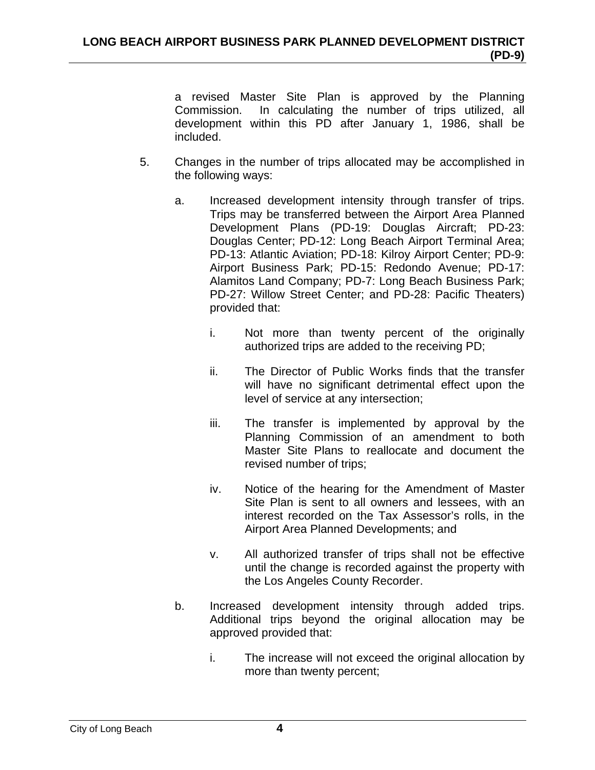a revised Master Site Plan is approved by the Planning Commission. In calculating the number of trips utilized, all development within this PD after January 1, 1986, shall be included.

- 5. Changes in the number of trips allocated may be accomplished in the following ways:
	- a. Increased development intensity through transfer of trips. Trips may be transferred between the Airport Area Planned Development Plans (PD-19: Douglas Aircraft; PD-23: Douglas Center; PD-12: Long Beach Airport Terminal Area; PD-13: Atlantic Aviation; PD-18: Kilroy Airport Center; PD-9: Airport Business Park; PD-15: Redondo Avenue; PD-17: Alamitos Land Company; PD-7: Long Beach Business Park; PD-27: Willow Street Center; and PD-28: Pacific Theaters) provided that:
		- i. Not more than twenty percent of the originally authorized trips are added to the receiving PD;
		- ii. The Director of Public Works finds that the transfer will have no significant detrimental effect upon the level of service at any intersection;
		- iii. The transfer is implemented by approval by the Planning Commission of an amendment to both Master Site Plans to reallocate and document the revised number of trips;
		- iv. Notice of the hearing for the Amendment of Master Site Plan is sent to all owners and lessees, with an interest recorded on the Tax Assessor's rolls, in the Airport Area Planned Developments; and
		- v. All authorized transfer of trips shall not be effective until the change is recorded against the property with the Los Angeles County Recorder.
	- b. Increased development intensity through added trips. Additional trips beyond the original allocation may be approved provided that:
		- i. The increase will not exceed the original allocation by more than twenty percent;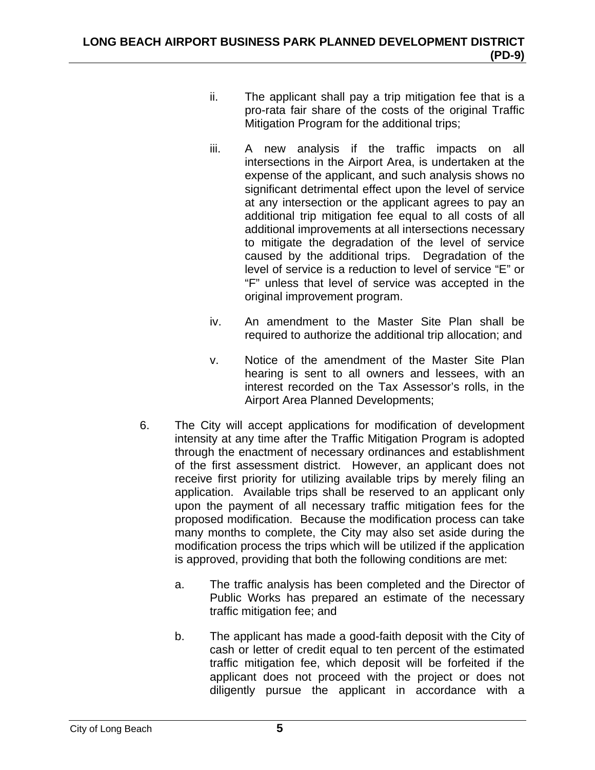- ii. The applicant shall pay a trip mitigation fee that is a pro-rata fair share of the costs of the original Traffic Mitigation Program for the additional trips;
- iii. A new analysis if the traffic impacts on all intersections in the Airport Area, is undertaken at the expense of the applicant, and such analysis shows no significant detrimental effect upon the level of service at any intersection or the applicant agrees to pay an additional trip mitigation fee equal to all costs of all additional improvements at all intersections necessary to mitigate the degradation of the level of service caused by the additional trips. Degradation of the level of service is a reduction to level of service "E" or "F" unless that level of service was accepted in the original improvement program.
- iv. An amendment to the Master Site Plan shall be required to authorize the additional trip allocation; and
- v. Notice of the amendment of the Master Site Plan hearing is sent to all owners and lessees, with an interest recorded on the Tax Assessor's rolls, in the Airport Area Planned Developments;
- 6. The City will accept applications for modification of development intensity at any time after the Traffic Mitigation Program is adopted through the enactment of necessary ordinances and establishment of the first assessment district. However, an applicant does not receive first priority for utilizing available trips by merely filing an application. Available trips shall be reserved to an applicant only upon the payment of all necessary traffic mitigation fees for the proposed modification. Because the modification process can take many months to complete, the City may also set aside during the modification process the trips which will be utilized if the application is approved, providing that both the following conditions are met:
	- a. The traffic analysis has been completed and the Director of Public Works has prepared an estimate of the necessary traffic mitigation fee; and
	- b. The applicant has made a good-faith deposit with the City of cash or letter of credit equal to ten percent of the estimated traffic mitigation fee, which deposit will be forfeited if the applicant does not proceed with the project or does not diligently pursue the applicant in accordance with a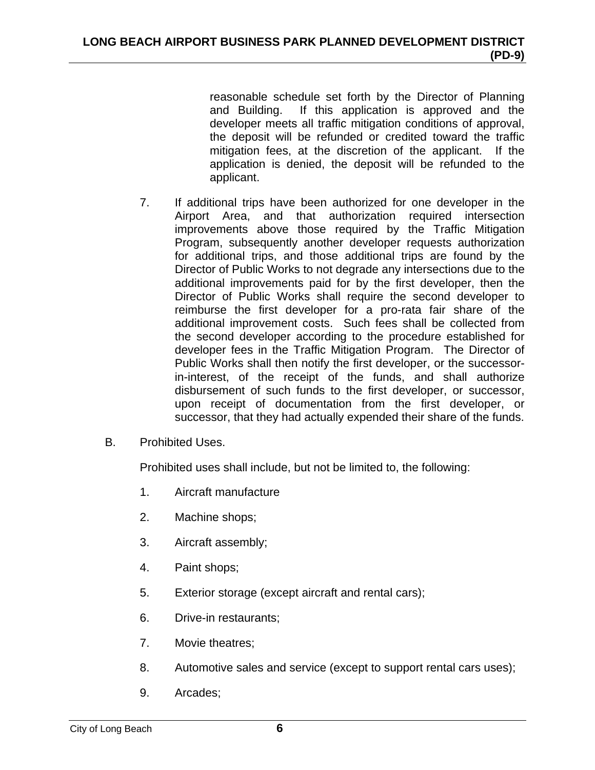reasonable schedule set forth by the Director of Planning and Building. If this application is approved and the developer meets all traffic mitigation conditions of approval, the deposit will be refunded or credited toward the traffic mitigation fees, at the discretion of the applicant. If the application is denied, the deposit will be refunded to the applicant.

- 7. If additional trips have been authorized for one developer in the Airport Area, and that authorization required intersection improvements above those required by the Traffic Mitigation Program, subsequently another developer requests authorization for additional trips, and those additional trips are found by the Director of Public Works to not degrade any intersections due to the additional improvements paid for by the first developer, then the Director of Public Works shall require the second developer to reimburse the first developer for a pro-rata fair share of the additional improvement costs. Such fees shall be collected from the second developer according to the procedure established for developer fees in the Traffic Mitigation Program. The Director of Public Works shall then notify the first developer, or the successorin-interest, of the receipt of the funds, and shall authorize disbursement of such funds to the first developer, or successor, upon receipt of documentation from the first developer, or successor, that they had actually expended their share of the funds.
- B. Prohibited Uses.

Prohibited uses shall include, but not be limited to, the following:

- 1. Aircraft manufacture
- 2. Machine shops;
- 3. Aircraft assembly;
- 4. Paint shops;
- 5. Exterior storage (except aircraft and rental cars);
- 6. Drive-in restaurants;
- 7. Movie theatres;
- 8. Automotive sales and service (except to support rental cars uses);
- 9. Arcades;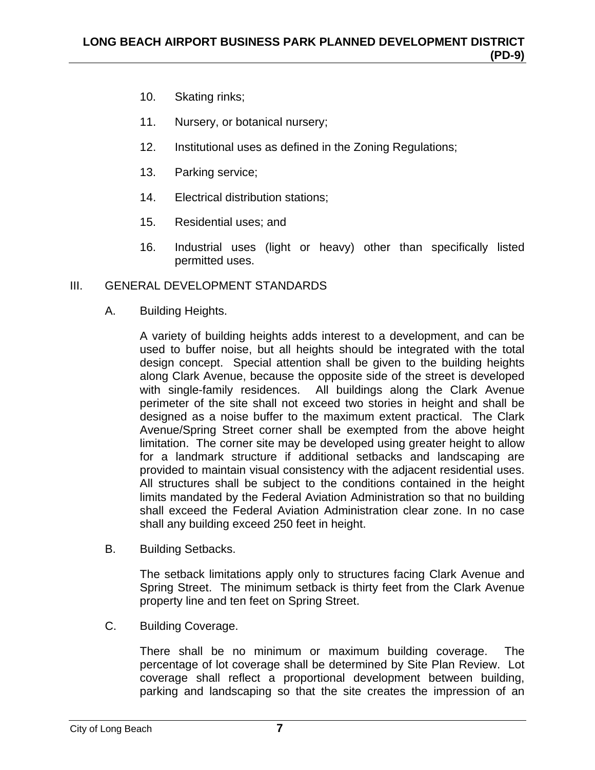- 10. Skating rinks;
- 11. Nursery, or botanical nursery;
- 12. Institutional uses as defined in the Zoning Regulations;
- 13. Parking service;
- 14. Electrical distribution stations;
- 15. Residential uses; and
- 16. Industrial uses (light or heavy) other than specifically listed permitted uses.

# III. GENERAL DEVELOPMENT STANDARDS

A. Building Heights.

A variety of building heights adds interest to a development, and can be used to buffer noise, but all heights should be integrated with the total design concept. Special attention shall be given to the building heights along Clark Avenue, because the opposite side of the street is developed with single-family residences. All buildings along the Clark Avenue perimeter of the site shall not exceed two stories in height and shall be designed as a noise buffer to the maximum extent practical. The Clark Avenue/Spring Street corner shall be exempted from the above height limitation. The corner site may be developed using greater height to allow for a landmark structure if additional setbacks and landscaping are provided to maintain visual consistency with the adjacent residential uses. All structures shall be subject to the conditions contained in the height limits mandated by the Federal Aviation Administration so that no building shall exceed the Federal Aviation Administration clear zone. In no case shall any building exceed 250 feet in height.

B. Building Setbacks.

The setback limitations apply only to structures facing Clark Avenue and Spring Street. The minimum setback is thirty feet from the Clark Avenue property line and ten feet on Spring Street.

C. Building Coverage.

There shall be no minimum or maximum building coverage. The percentage of lot coverage shall be determined by Site Plan Review. Lot coverage shall reflect a proportional development between building, parking and landscaping so that the site creates the impression of an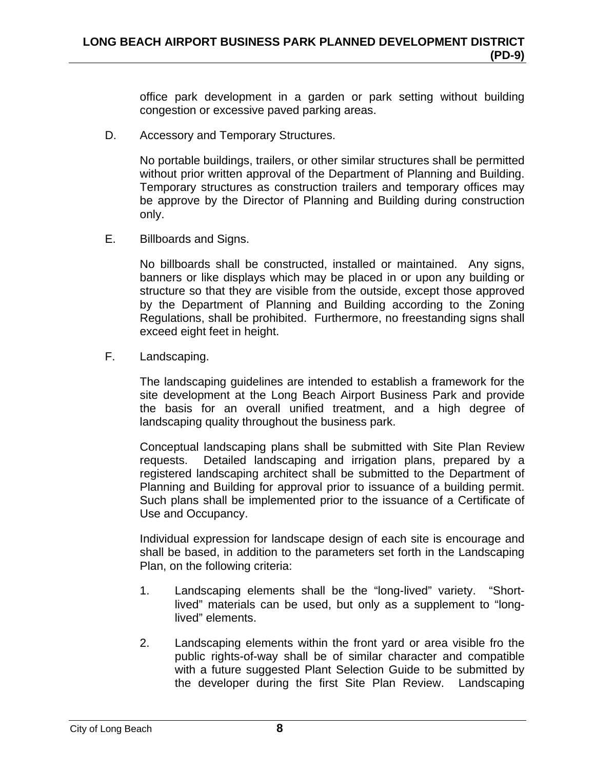office park development in a garden or park setting without building congestion or excessive paved parking areas.

D. Accessory and Temporary Structures.

No portable buildings, trailers, or other similar structures shall be permitted without prior written approval of the Department of Planning and Building. Temporary structures as construction trailers and temporary offices may be approve by the Director of Planning and Building during construction only.

E. Billboards and Signs.

No billboards shall be constructed, installed or maintained. Any signs, banners or like displays which may be placed in or upon any building or structure so that they are visible from the outside, except those approved by the Department of Planning and Building according to the Zoning Regulations, shall be prohibited. Furthermore, no freestanding signs shall exceed eight feet in height.

F. Landscaping.

The landscaping guidelines are intended to establish a framework for the site development at the Long Beach Airport Business Park and provide the basis for an overall unified treatment, and a high degree of landscaping quality throughout the business park.

Conceptual landscaping plans shall be submitted with Site Plan Review requests. Detailed landscaping and irrigation plans, prepared by a registered landscaping architect shall be submitted to the Department of Planning and Building for approval prior to issuance of a building permit. Such plans shall be implemented prior to the issuance of a Certificate of Use and Occupancy.

Individual expression for landscape design of each site is encourage and shall be based, in addition to the parameters set forth in the Landscaping Plan, on the following criteria:

- 1. Landscaping elements shall be the "long-lived" variety. "Shortlived" materials can be used, but only as a supplement to "longlived" elements.
- 2. Landscaping elements within the front yard or area visible fro the public rights-of-way shall be of similar character and compatible with a future suggested Plant Selection Guide to be submitted by the developer during the first Site Plan Review. Landscaping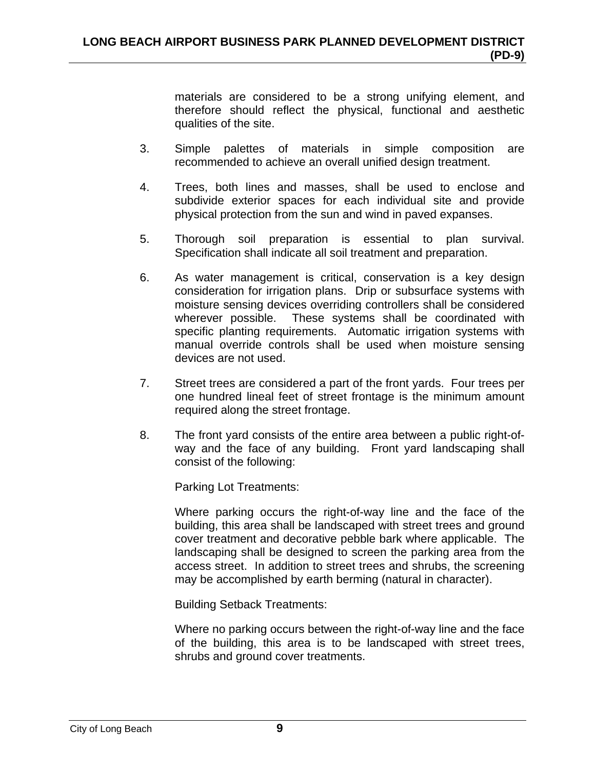materials are considered to be a strong unifying element, and therefore should reflect the physical, functional and aesthetic qualities of the site.

- 3. Simple palettes of materials in simple composition are recommended to achieve an overall unified design treatment.
- 4. Trees, both lines and masses, shall be used to enclose and subdivide exterior spaces for each individual site and provide physical protection from the sun and wind in paved expanses.
- 5. Thorough soil preparation is essential to plan survival. Specification shall indicate all soil treatment and preparation.
- 6. As water management is critical, conservation is a key design consideration for irrigation plans. Drip or subsurface systems with moisture sensing devices overriding controllers shall be considered wherever possible. These systems shall be coordinated with specific planting requirements. Automatic irrigation systems with manual override controls shall be used when moisture sensing devices are not used.
- 7. Street trees are considered a part of the front yards. Four trees per one hundred lineal feet of street frontage is the minimum amount required along the street frontage.
- 8. The front yard consists of the entire area between a public right-ofway and the face of any building. Front yard landscaping shall consist of the following:

Parking Lot Treatments:

Where parking occurs the right-of-way line and the face of the building, this area shall be landscaped with street trees and ground cover treatment and decorative pebble bark where applicable. The landscaping shall be designed to screen the parking area from the access street. In addition to street trees and shrubs, the screening may be accomplished by earth berming (natural in character).

Building Setback Treatments:

Where no parking occurs between the right-of-way line and the face of the building, this area is to be landscaped with street trees, shrubs and ground cover treatments.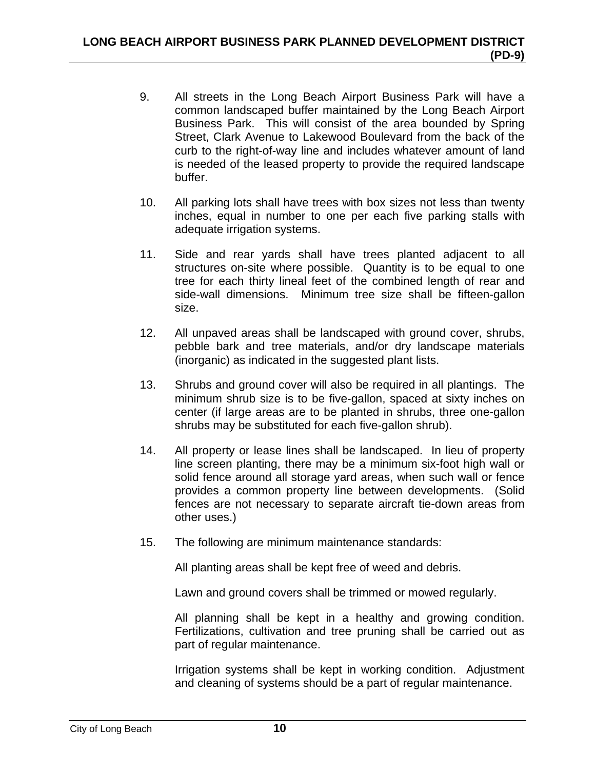- 9. All streets in the Long Beach Airport Business Park will have a common landscaped buffer maintained by the Long Beach Airport Business Park. This will consist of the area bounded by Spring Street, Clark Avenue to Lakewood Boulevard from the back of the curb to the right-of-way line and includes whatever amount of land is needed of the leased property to provide the required landscape buffer.
- 10. All parking lots shall have trees with box sizes not less than twenty inches, equal in number to one per each five parking stalls with adequate irrigation systems.
- 11. Side and rear yards shall have trees planted adjacent to all structures on-site where possible. Quantity is to be equal to one tree for each thirty lineal feet of the combined length of rear and side-wall dimensions. Minimum tree size shall be fifteen-gallon size.
- 12. All unpaved areas shall be landscaped with ground cover, shrubs, pebble bark and tree materials, and/or dry landscape materials (inorganic) as indicated in the suggested plant lists.
- 13. Shrubs and ground cover will also be required in all plantings. The minimum shrub size is to be five-gallon, spaced at sixty inches on center (if large areas are to be planted in shrubs, three one-gallon shrubs may be substituted for each five-gallon shrub).
- 14. All property or lease lines shall be landscaped. In lieu of property line screen planting, there may be a minimum six-foot high wall or solid fence around all storage yard areas, when such wall or fence provides a common property line between developments. (Solid fences are not necessary to separate aircraft tie-down areas from other uses.)
- 15. The following are minimum maintenance standards:

All planting areas shall be kept free of weed and debris.

Lawn and ground covers shall be trimmed or mowed regularly.

All planning shall be kept in a healthy and growing condition. Fertilizations, cultivation and tree pruning shall be carried out as part of regular maintenance.

Irrigation systems shall be kept in working condition. Adjustment and cleaning of systems should be a part of regular maintenance.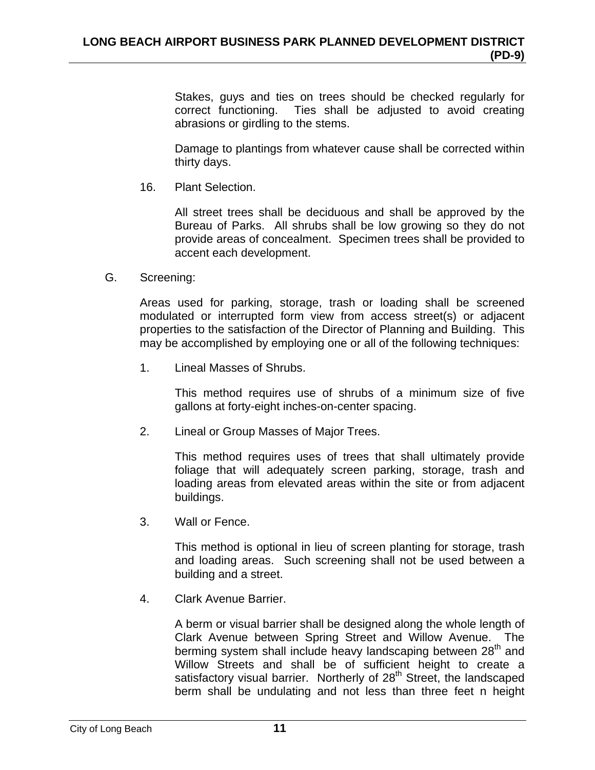Stakes, guys and ties on trees should be checked regularly for correct functioning. Ties shall be adjusted to avoid creating abrasions or girdling to the stems.

Damage to plantings from whatever cause shall be corrected within thirty days.

16. Plant Selection.

All street trees shall be deciduous and shall be approved by the Bureau of Parks. All shrubs shall be low growing so they do not provide areas of concealment. Specimen trees shall be provided to accent each development.

G. Screening:

Areas used for parking, storage, trash or loading shall be screened modulated or interrupted form view from access street(s) or adjacent properties to the satisfaction of the Director of Planning and Building. This may be accomplished by employing one or all of the following techniques:

1. Lineal Masses of Shrubs.

This method requires use of shrubs of a minimum size of five gallons at forty-eight inches-on-center spacing.

2. Lineal or Group Masses of Major Trees.

This method requires uses of trees that shall ultimately provide foliage that will adequately screen parking, storage, trash and loading areas from elevated areas within the site or from adjacent buildings.

3. Wall or Fence.

This method is optional in lieu of screen planting for storage, trash and loading areas. Such screening shall not be used between a building and a street.

4. Clark Avenue Barrier.

A berm or visual barrier shall be designed along the whole length of Clark Avenue between Spring Street and Willow Avenue. The berming system shall include heavy landscaping between 28<sup>th</sup> and Willow Streets and shall be of sufficient height to create a satisfactory visual barrier. Northerly of 28<sup>th</sup> Street, the landscaped berm shall be undulating and not less than three feet n height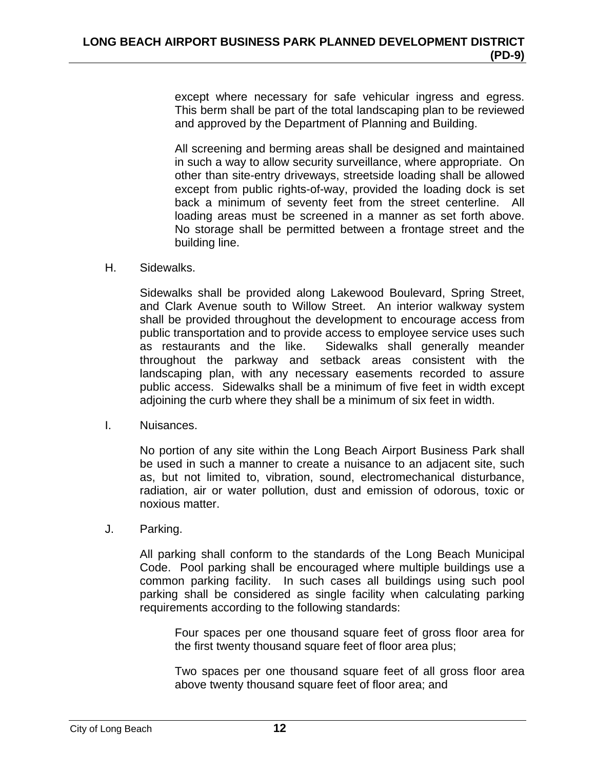except where necessary for safe vehicular ingress and egress. This berm shall be part of the total landscaping plan to be reviewed and approved by the Department of Planning and Building.

All screening and berming areas shall be designed and maintained in such a way to allow security surveillance, where appropriate. On other than site-entry driveways, streetside loading shall be allowed except from public rights-of-way, provided the loading dock is set back a minimum of seventy feet from the street centerline. All loading areas must be screened in a manner as set forth above. No storage shall be permitted between a frontage street and the building line.

H. Sidewalks.

Sidewalks shall be provided along Lakewood Boulevard, Spring Street, and Clark Avenue south to Willow Street. An interior walkway system shall be provided throughout the development to encourage access from public transportation and to provide access to employee service uses such as restaurants and the like. Sidewalks shall generally meander throughout the parkway and setback areas consistent with the landscaping plan, with any necessary easements recorded to assure public access. Sidewalks shall be a minimum of five feet in width except adjoining the curb where they shall be a minimum of six feet in width.

I. Nuisances.

No portion of any site within the Long Beach Airport Business Park shall be used in such a manner to create a nuisance to an adjacent site, such as, but not limited to, vibration, sound, electromechanical disturbance, radiation, air or water pollution, dust and emission of odorous, toxic or noxious matter.

J. Parking.

All parking shall conform to the standards of the Long Beach Municipal Code. Pool parking shall be encouraged where multiple buildings use a common parking facility. In such cases all buildings using such pool parking shall be considered as single facility when calculating parking requirements according to the following standards:

Four spaces per one thousand square feet of gross floor area for the first twenty thousand square feet of floor area plus;

Two spaces per one thousand square feet of all gross floor area above twenty thousand square feet of floor area; and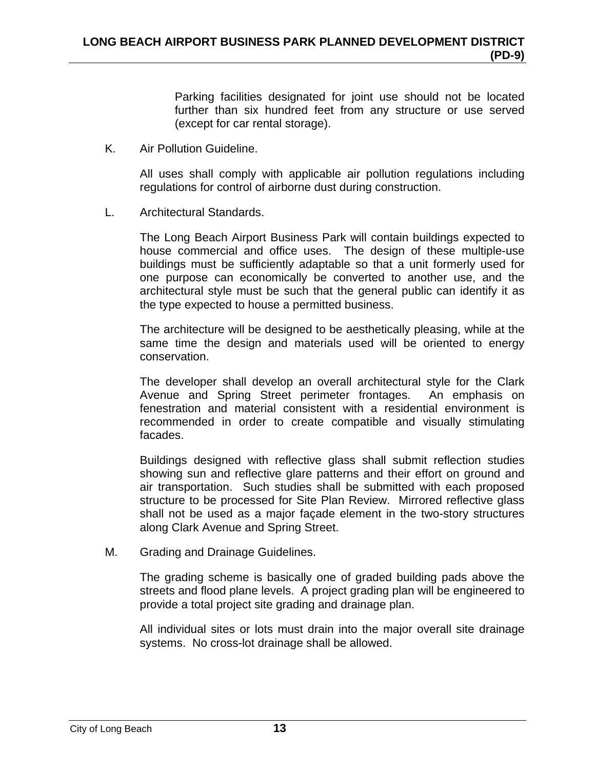Parking facilities designated for joint use should not be located further than six hundred feet from any structure or use served (except for car rental storage).

K. Air Pollution Guideline.

All uses shall comply with applicable air pollution regulations including regulations for control of airborne dust during construction.

L. Architectural Standards.

The Long Beach Airport Business Park will contain buildings expected to house commercial and office uses. The design of these multiple-use buildings must be sufficiently adaptable so that a unit formerly used for one purpose can economically be converted to another use, and the architectural style must be such that the general public can identify it as the type expected to house a permitted business.

The architecture will be designed to be aesthetically pleasing, while at the same time the design and materials used will be oriented to energy conservation.

The developer shall develop an overall architectural style for the Clark Avenue and Spring Street perimeter frontages. An emphasis on fenestration and material consistent with a residential environment is recommended in order to create compatible and visually stimulating facades.

Buildings designed with reflective glass shall submit reflection studies showing sun and reflective glare patterns and their effort on ground and air transportation. Such studies shall be submitted with each proposed structure to be processed for Site Plan Review. Mirrored reflective glass shall not be used as a major façade element in the two-story structures along Clark Avenue and Spring Street.

M. Grading and Drainage Guidelines.

The grading scheme is basically one of graded building pads above the streets and flood plane levels. A project grading plan will be engineered to provide a total project site grading and drainage plan.

All individual sites or lots must drain into the major overall site drainage systems. No cross-lot drainage shall be allowed.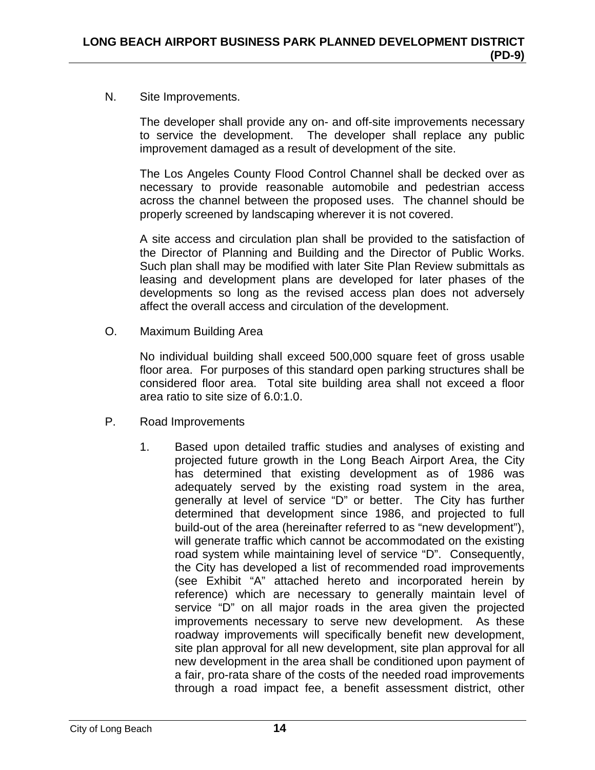## N. Site Improvements.

The developer shall provide any on- and off-site improvements necessary to service the development. The developer shall replace any public improvement damaged as a result of development of the site.

The Los Angeles County Flood Control Channel shall be decked over as necessary to provide reasonable automobile and pedestrian access across the channel between the proposed uses. The channel should be properly screened by landscaping wherever it is not covered.

A site access and circulation plan shall be provided to the satisfaction of the Director of Planning and Building and the Director of Public Works. Such plan shall may be modified with later Site Plan Review submittals as leasing and development plans are developed for later phases of the developments so long as the revised access plan does not adversely affect the overall access and circulation of the development.

O. Maximum Building Area

No individual building shall exceed 500,000 square feet of gross usable floor area. For purposes of this standard open parking structures shall be considered floor area. Total site building area shall not exceed a floor area ratio to site size of 6.0:1.0.

- P. Road Improvements
	- 1. Based upon detailed traffic studies and analyses of existing and projected future growth in the Long Beach Airport Area, the City has determined that existing development as of 1986 was adequately served by the existing road system in the area, generally at level of service "D" or better. The City has further determined that development since 1986, and projected to full build-out of the area (hereinafter referred to as "new development"), will generate traffic which cannot be accommodated on the existing road system while maintaining level of service "D". Consequently, the City has developed a list of recommended road improvements (see Exhibit "A" attached hereto and incorporated herein by reference) which are necessary to generally maintain level of service "D" on all major roads in the area given the projected improvements necessary to serve new development. As these roadway improvements will specifically benefit new development, site plan approval for all new development, site plan approval for all new development in the area shall be conditioned upon payment of a fair, pro-rata share of the costs of the needed road improvements through a road impact fee, a benefit assessment district, other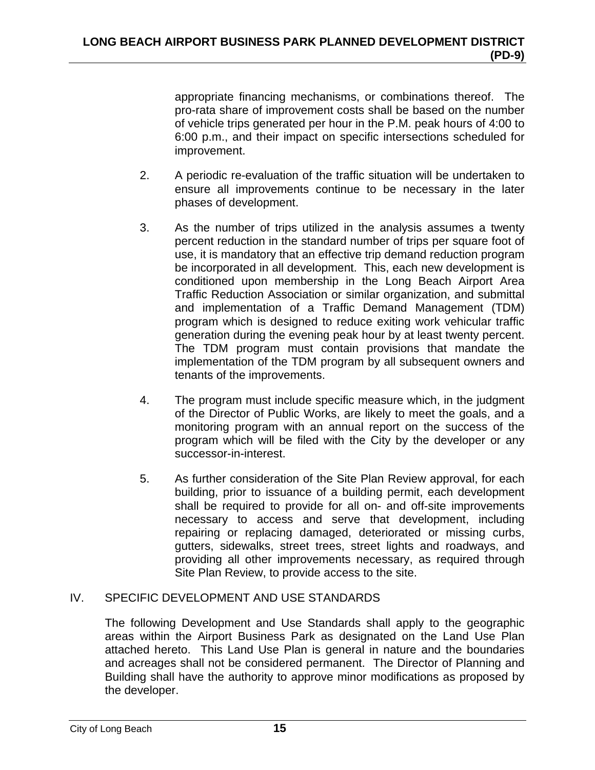appropriate financing mechanisms, or combinations thereof. The pro-rata share of improvement costs shall be based on the number of vehicle trips generated per hour in the P.M. peak hours of 4:00 to 6:00 p.m., and their impact on specific intersections scheduled for improvement.

- 2. A periodic re-evaluation of the traffic situation will be undertaken to ensure all improvements continue to be necessary in the later phases of development.
- 3. As the number of trips utilized in the analysis assumes a twenty percent reduction in the standard number of trips per square foot of use, it is mandatory that an effective trip demand reduction program be incorporated in all development. This, each new development is conditioned upon membership in the Long Beach Airport Area Traffic Reduction Association or similar organization, and submittal and implementation of a Traffic Demand Management (TDM) program which is designed to reduce exiting work vehicular traffic generation during the evening peak hour by at least twenty percent. The TDM program must contain provisions that mandate the implementation of the TDM program by all subsequent owners and tenants of the improvements.
- 4. The program must include specific measure which, in the judgment of the Director of Public Works, are likely to meet the goals, and a monitoring program with an annual report on the success of the program which will be filed with the City by the developer or any successor-in-interest.
- 5. As further consideration of the Site Plan Review approval, for each building, prior to issuance of a building permit, each development shall be required to provide for all on- and off-site improvements necessary to access and serve that development, including repairing or replacing damaged, deteriorated or missing curbs, gutters, sidewalks, street trees, street lights and roadways, and providing all other improvements necessary, as required through Site Plan Review, to provide access to the site.

# IV. SPECIFIC DEVELOPMENT AND USE STANDARDS

The following Development and Use Standards shall apply to the geographic areas within the Airport Business Park as designated on the Land Use Plan attached hereto. This Land Use Plan is general in nature and the boundaries and acreages shall not be considered permanent. The Director of Planning and Building shall have the authority to approve minor modifications as proposed by the developer.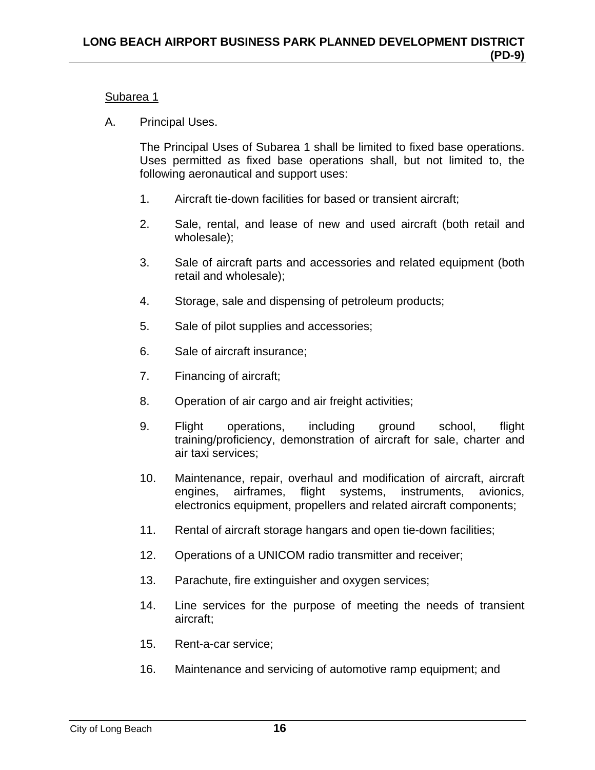#### Subarea 1

A. Principal Uses.

The Principal Uses of Subarea 1 shall be limited to fixed base operations. Uses permitted as fixed base operations shall, but not limited to, the following aeronautical and support uses:

- 1. Aircraft tie-down facilities for based or transient aircraft;
- 2. Sale, rental, and lease of new and used aircraft (both retail and wholesale);
- 3. Sale of aircraft parts and accessories and related equipment (both retail and wholesale);
- 4. Storage, sale and dispensing of petroleum products;
- 5. Sale of pilot supplies and accessories;
- 6. Sale of aircraft insurance;
- 7. Financing of aircraft;
- 8. Operation of air cargo and air freight activities;
- 9. Flight operations, including ground school, flight training/proficiency, demonstration of aircraft for sale, charter and air taxi services;
- 10. Maintenance, repair, overhaul and modification of aircraft, aircraft engines, airframes, flight systems, instruments, avionics, electronics equipment, propellers and related aircraft components;
- 11. Rental of aircraft storage hangars and open tie-down facilities;
- 12. Operations of a UNICOM radio transmitter and receiver;
- 13. Parachute, fire extinguisher and oxygen services;
- 14. Line services for the purpose of meeting the needs of transient aircraft;
- 15. Rent-a-car service;
- 16. Maintenance and servicing of automotive ramp equipment; and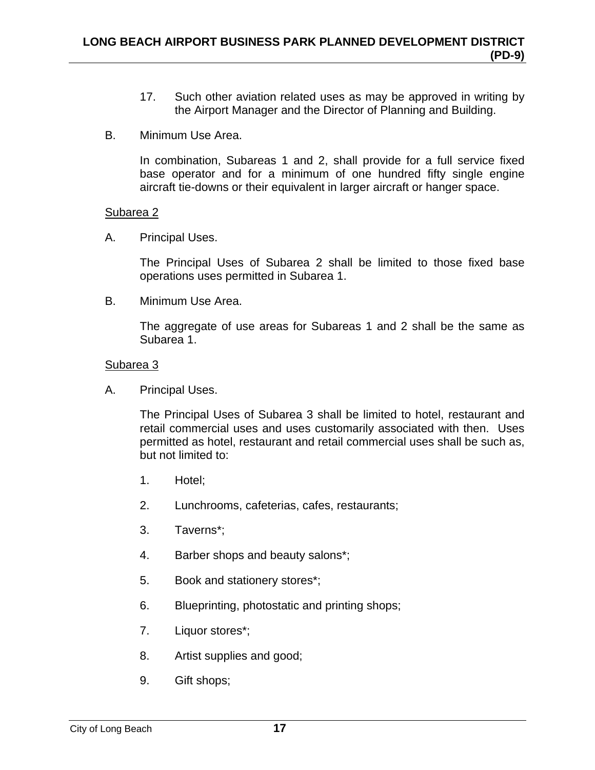- 17. Such other aviation related uses as may be approved in writing by the Airport Manager and the Director of Planning and Building.
- B. Minimum Use Area.

In combination, Subareas 1 and 2, shall provide for a full service fixed base operator and for a minimum of one hundred fifty single engine aircraft tie-downs or their equivalent in larger aircraft or hanger space.

#### Subarea 2

A. Principal Uses.

The Principal Uses of Subarea 2 shall be limited to those fixed base operations uses permitted in Subarea 1.

B. Minimum Use Area.

The aggregate of use areas for Subareas 1 and 2 shall be the same as Subarea 1.

#### Subarea 3

A. Principal Uses.

The Principal Uses of Subarea 3 shall be limited to hotel, restaurant and retail commercial uses and uses customarily associated with then. Uses permitted as hotel, restaurant and retail commercial uses shall be such as, but not limited to:

- 1. Hotel;
- 2. Lunchrooms, cafeterias, cafes, restaurants;
- 3. Taverns\*;
- 4. Barber shops and beauty salons\*;
- 5. Book and stationery stores\*;
- 6. Blueprinting, photostatic and printing shops;
- 7. Liquor stores\*;
- 8. Artist supplies and good;
- 9. Gift shops;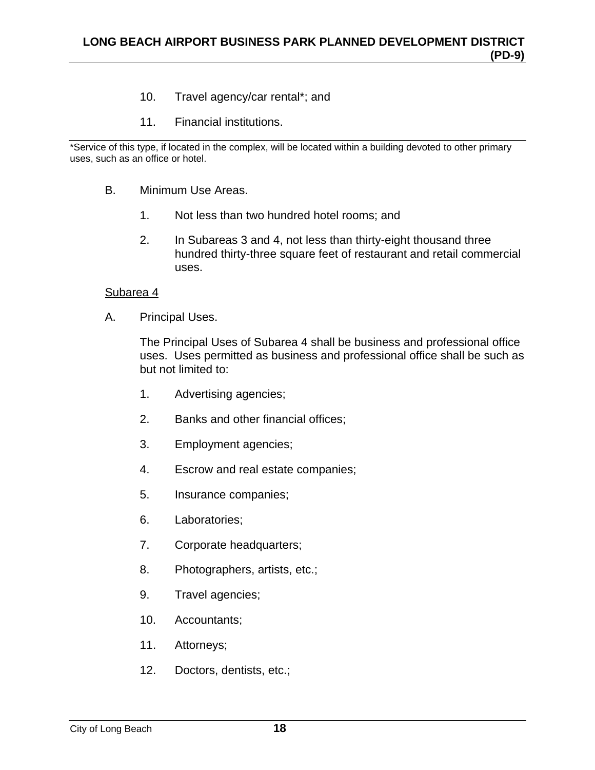- 10. Travel agency/car rental\*; and
- 11. Financial institutions.

\*Service of this type, if located in the complex, will be located within a building devoted to other primary uses, such as an office or hotel.

- B. Minimum Use Areas.
	- 1. Not less than two hundred hotel rooms; and
	- 2. In Subareas 3 and 4, not less than thirty-eight thousand three hundred thirty-three square feet of restaurant and retail commercial uses.

#### Subarea 4

A. Principal Uses.

The Principal Uses of Subarea 4 shall be business and professional office uses. Uses permitted as business and professional office shall be such as but not limited to:

- 1. Advertising agencies;
- 2. Banks and other financial offices;
- 3. Employment agencies;
- 4. Escrow and real estate companies;
- 5. Insurance companies;
- 6. Laboratories;
- 7. Corporate headquarters;
- 8. Photographers, artists, etc.;
- 9. Travel agencies;
- 10. Accountants;
- 11. Attorneys;
- 12. Doctors, dentists, etc.;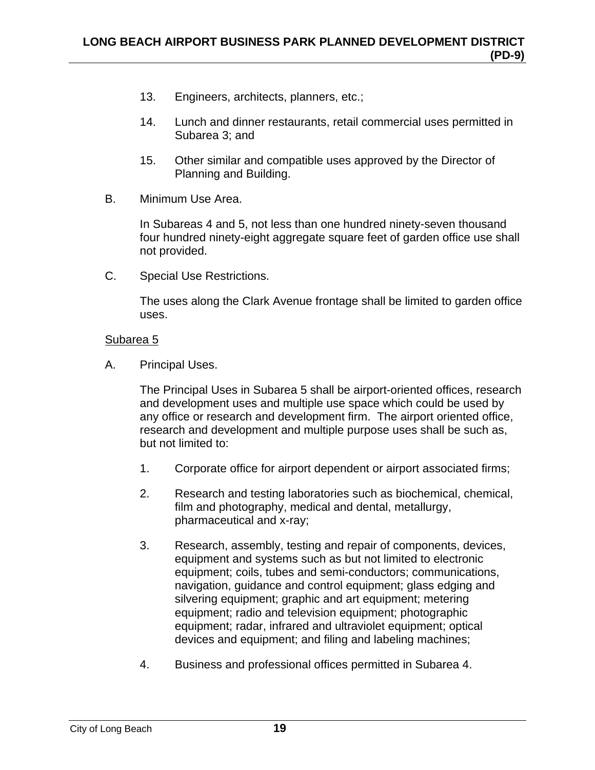- 13. Engineers, architects, planners, etc.;
- 14. Lunch and dinner restaurants, retail commercial uses permitted in Subarea 3; and
- 15. Other similar and compatible uses approved by the Director of Planning and Building.
- B. Minimum Use Area.

In Subareas 4 and 5, not less than one hundred ninety-seven thousand four hundred ninety-eight aggregate square feet of garden office use shall not provided.

C. Special Use Restrictions.

The uses along the Clark Avenue frontage shall be limited to garden office uses.

## Subarea 5

A. Principal Uses.

The Principal Uses in Subarea 5 shall be airport-oriented offices, research and development uses and multiple use space which could be used by any office or research and development firm. The airport oriented office, research and development and multiple purpose uses shall be such as, but not limited to:

- 1. Corporate office for airport dependent or airport associated firms;
- 2. Research and testing laboratories such as biochemical, chemical, film and photography, medical and dental, metallurgy, pharmaceutical and x-ray;
- 3. Research, assembly, testing and repair of components, devices, equipment and systems such as but not limited to electronic equipment; coils, tubes and semi-conductors; communications, navigation, guidance and control equipment; glass edging and silvering equipment; graphic and art equipment; metering equipment; radio and television equipment; photographic equipment; radar, infrared and ultraviolet equipment; optical devices and equipment; and filing and labeling machines;
- 4. Business and professional offices permitted in Subarea 4.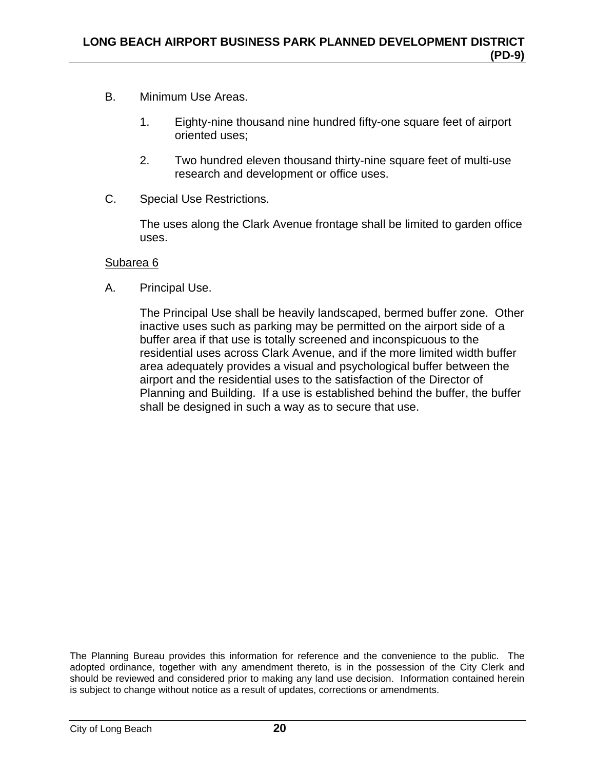- B. Minimum Use Areas.
	- 1. Eighty-nine thousand nine hundred fifty-one square feet of airport oriented uses;
	- 2. Two hundred eleven thousand thirty-nine square feet of multi-use research and development or office uses.
- C. Special Use Restrictions.

The uses along the Clark Avenue frontage shall be limited to garden office uses.

#### Subarea 6

A. Principal Use.

The Principal Use shall be heavily landscaped, bermed buffer zone. Other inactive uses such as parking may be permitted on the airport side of a buffer area if that use is totally screened and inconspicuous to the residential uses across Clark Avenue, and if the more limited width buffer area adequately provides a visual and psychological buffer between the airport and the residential uses to the satisfaction of the Director of Planning and Building. If a use is established behind the buffer, the buffer shall be designed in such a way as to secure that use.

The Planning Bureau provides this information for reference and the convenience to the public. The adopted ordinance, together with any amendment thereto, is in the possession of the City Clerk and should be reviewed and considered prior to making any land use decision. Information contained herein is subject to change without notice as a result of updates, corrections or amendments.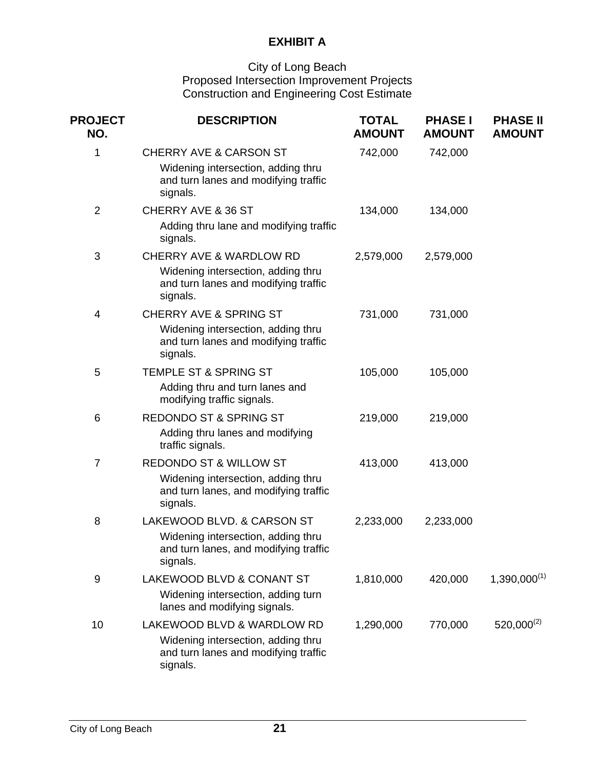# **EXHIBIT A**

#### City of Long Beach Proposed Intersection Improvement Projects Construction and Engineering Cost Estimate

| <b>PROJECT</b><br>NO. | <b>DESCRIPTION</b>                                                                                                           | <b>TOTAL</b><br><b>AMOUNT</b> | <b>PHASE I</b><br><b>AMOUNT</b> | <b>PHASE II</b><br><b>AMOUNT</b> |
|-----------------------|------------------------------------------------------------------------------------------------------------------------------|-------------------------------|---------------------------------|----------------------------------|
| 1                     | <b>CHERRY AVE &amp; CARSON ST</b><br>Widening intersection, adding thru<br>and turn lanes and modifying traffic<br>signals.  | 742,000                       | 742,000                         |                                  |
| $\overline{2}$        | <b>CHERRY AVE &amp; 36 ST</b><br>Adding thru lane and modifying traffic<br>signals.                                          | 134,000                       | 134,000                         |                                  |
| 3                     | <b>CHERRY AVE &amp; WARDLOW RD</b><br>Widening intersection, adding thru<br>and turn lanes and modifying traffic<br>signals. | 2,579,000                     | 2,579,000                       |                                  |
| $\overline{4}$        | <b>CHERRY AVE &amp; SPRING ST</b><br>Widening intersection, adding thru<br>and turn lanes and modifying traffic<br>signals.  | 731,000                       | 731,000                         |                                  |
| 5                     | <b>TEMPLE ST &amp; SPRING ST</b><br>Adding thru and turn lanes and<br>modifying traffic signals.                             | 105,000                       | 105,000                         |                                  |
| 6                     | <b>REDONDO ST &amp; SPRING ST</b><br>Adding thru lanes and modifying<br>traffic signals.                                     | 219,000                       | 219,000                         |                                  |
| $\overline{7}$        | <b>REDONDO ST &amp; WILLOW ST</b><br>Widening intersection, adding thru<br>and turn lanes, and modifying traffic<br>signals. | 413,000                       | 413,000                         |                                  |
| 8                     | LAKEWOOD BLVD. & CARSON ST<br>Widening intersection, adding thru<br>and turn lanes, and modifying traffic<br>signals.        | 2,233,000                     | 2,233,000                       |                                  |
| $9\,$                 | LAKEWOOD BLVD & CONANT ST<br>Widening intersection, adding turn<br>lanes and modifying signals.                              | 1,810,000                     | 420,000                         | $1,390,000^{(1)}$                |
| 10                    | LAKEWOOD BLVD & WARDLOW RD<br>Widening intersection, adding thru<br>and turn lanes and modifying traffic<br>signals.         | 1,290,000                     | 770,000                         | $520,000^{(2)}$                  |